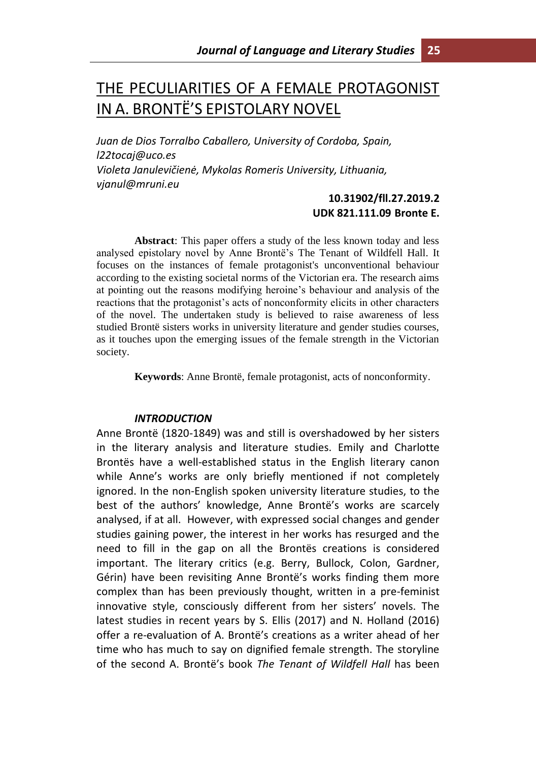# THE PECULIARITIES OF A FEMALE PROTAGONIST IN A. BRONTË'S EPISTOLARY NOVEL

*Juan de Dios Torralbo Caballero, University of Cordoba, Spain, l22tocaj@uco.es Violeta Janulevičienė, Mykolas Romeris University, Lithuania, vjanul@mruni.eu*

## **10.31902/fll.27.2019.2 UDK 821.111.09 Bronte E.**

**Abstract**: This paper offers a study of the less known today and less analysed epistolary novel by Anne Brontë's The Tenant of Wildfell Hall. It focuses on the instances of female protagonist's unconventional behaviour according to the existing societal norms of the Victorian era. The research aims at pointing out the reasons modifying heroine's behaviour and analysis of the reactions that the protagonist's acts of nonconformity elicits in other characters of the novel. The undertaken study is believed to raise awareness of less studied Brontë sisters works in university literature and gender studies courses, as it touches upon the emerging issues of the female strength in the Victorian society.

**Keywords**: Anne Brontë, female protagonist, acts of nonconformity.

#### *INTRODUCTION*

Anne Brontë (1820-1849) was and still is overshadowed by her sisters in the literary analysis and literature studies. Emily and Charlotte Brontës have a well-established status in the English literary canon while Anne's works are only briefly mentioned if not completely ignored. In the non-English spoken university literature studies, to the best of the authors' knowledge, Anne Brontë's works are scarcely analysed, if at all. However, with expressed social changes and gender studies gaining power, the interest in her works has resurged and the need to fill in the gap on all the Brontës creations is considered important. The literary critics (e.g. Berry, Bullock, Colon, Gardner, Gérin) have been revisiting Anne Brontë's works finding them more complex than has been previously thought, written in a pre-feminist innovative style, consciously different from her sisters' novels. The latest studies in recent years by S. Ellis (2017) and N. Holland (2016) offer a re-evaluation of A. Brontë's creations as a writer ahead of her time who has much to say on dignified female strength. The storyline of the second A. Brontë's book *The Tenant of Wildfell Hall* has been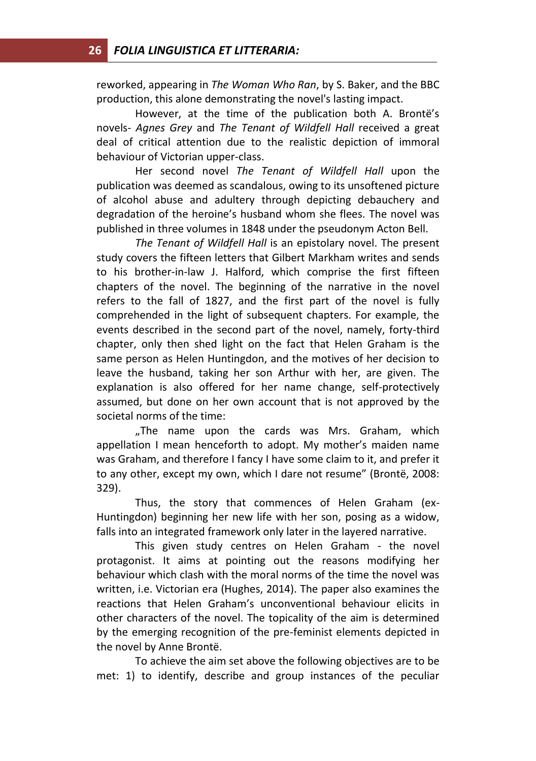reworked, appearing in *The Woman Who Ran*, by S. Baker, and the BBC production, this alone demonstrating the novel's lasting impact.

However, at the time of the publication both A. Brontë's novels- *Agnes Grey* and *The Tenant of Wildfell Hall* received a great deal of critical attention due to the realistic depiction of immoral behaviour of Victorian upper-class.

Her second novel *The Tenant of Wildfell Hall* upon the publication was deemed as scandalous, owing to its unsoftened picture of alcohol abuse and adultery through depicting debauchery and degradation of the heroine's husband whom she flees. The novel was published in three volumes in 1848 under the pseudonym Acton Bell.

*The Tenant of Wildfell Hall* is an epistolary novel. The present study covers the fifteen letters that Gilbert Markham writes and sends to his brother-in-law J. Halford, which comprise the first fifteen chapters of the novel. The beginning of the narrative in the novel refers to the fall of 1827, and the first part of the novel is fully comprehended in the light of subsequent chapters. For example, the events described in the second part of the novel, namely, forty-third chapter, only then shed light on the fact that Helen Graham is the same person as Helen Huntingdon, and the motives of her decision to leave the husband, taking her son Arthur with her, are given. The explanation is also offered for her name change, self-protectively assumed, but done on her own account that is not approved by the societal norms of the time:

"The name upon the cards was Mrs. Graham, which appellation I mean henceforth to adopt. My mother's maiden name was Graham, and therefore I fancy I have some claim to it, and prefer it to any other, except my own, which I dare not resume" (Brontë, 2008: 329).

Thus, the story that commences of Helen Graham (ex-Huntingdon) beginning her new life with her son, posing as a widow, falls into an integrated framework only later in the layered narrative.

This given study centres on Helen Graham - the novel protagonist. It aims at pointing out the reasons modifying her behaviour which clash with the moral norms of the time the novel was written, i.e. Victorian era (Hughes, 2014). The paper also examines the reactions that Helen Graham's unconventional behaviour elicits in other characters of the novel. The topicality of the aim is determined by the emerging recognition of the pre-feminist elements depicted in the novel by Anne Brontë.

To achieve the aim set above the following objectives are to be met: 1) to identify, describe and group instances of the peculiar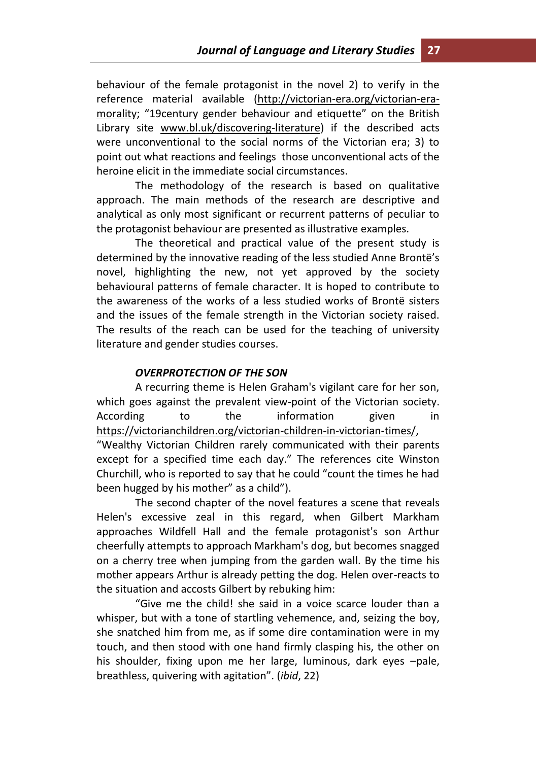behaviour of the female protagonist in the novel 2) to verify in the reference material available (http://victorian-era.org/victorian-eramorality; "19century gender behaviour and etiquette" on the British Library site [www.bl.uk/discovering-literature\)](http://www.bl.uk/discovering-literature) if the described acts were unconventional to the social norms of the Victorian era; 3) to point out what reactions and feelings those unconventional acts of the heroine elicit in the immediate social circumstances.

The methodology of the research is based on qualitative approach. The main methods of the research are descriptive and analytical as only most significant or recurrent patterns of peculiar to the protagonist behaviour are presented as illustrative examples.

The theoretical and practical value of the present study is determined by the innovative reading of the less studied Anne Brontë's novel, highlighting the new, not yet approved by the society behavioural patterns of female character. It is hoped to contribute to the awareness of the works of a less studied works of Brontë sisters and the issues of the female strength in the Victorian society raised. The results of the reach can be used for the teaching of university literature and gender studies courses.

## *OVERPROTECTION OF THE SON*

been hugged by his mother" as a child").

A recurring theme is Helen Graham's vigilant care for her son, which goes against the prevalent view-point of the Victorian society. According to the information given in [https://victorianchildren.org/victorian-children-in-victorian-times/,](https://victorianchildren.org/victorian-children-in-victorian-times/) "Wealthy Victorian Children rarely communicated with their parents except for a specified time each day." The references cite Winston Churchill, who is reported to say that he could "count the times he had

The second chapter of the novel features a scene that reveals Helen's excessive zeal in this regard, when Gilbert Markham approaches Wildfell Hall and the female protagonist's son Arthur cheerfully attempts to approach Markham's dog, but becomes snagged on a cherry tree when jumping from the garden wall. By the time his mother appears Arthur is already petting the dog. Helen over-reacts to the situation and accosts Gilbert by rebuking him:

"Give me the child! she said in a voice scarce louder than a whisper, but with a tone of startling vehemence, and, seizing the boy, she snatched him from me, as if some dire contamination were in my touch, and then stood with one hand firmly clasping his, the other on his shoulder, fixing upon me her large, luminous, dark eyes –pale, breathless, quivering with agitation". (*ibid*, 22)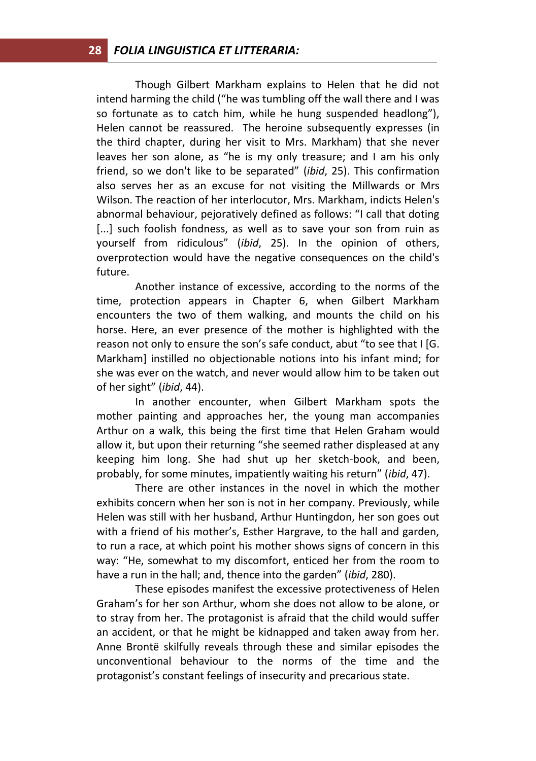Though Gilbert Markham explains to Helen that he did not intend harming the child ("he was tumbling off the wall there and I was so fortunate as to catch him, while he hung suspended headlong"), Helen cannot be reassured. The heroine subsequently expresses (in the third chapter, during her visit to Mrs. Markham) that she never leaves her son alone, as "he is my only treasure; and I am his only friend, so we don't like to be separated" (*ibid*, 25). This confirmation also serves her as an excuse for not visiting the Millwards or Mrs Wilson. The reaction of her interlocutor, Mrs. Markham, indicts Helen's abnormal behaviour, pejoratively defined as follows: "I call that doting [...] such foolish fondness, as well as to save your son from ruin as yourself from ridiculous" (*ibid*, 25). In the opinion of others, overprotection would have the negative consequences on the child's future.

Another instance of excessive, according to the norms of the time, protection appears in Chapter 6, when Gilbert Markham encounters the two of them walking, and mounts the child on his horse. Here, an ever presence of the mother is highlighted with the reason not only to ensure the son's safe conduct, abut "to see that I [G. Markham] instilled no objectionable notions into his infant mind; for she was ever on the watch, and never would allow him to be taken out of her sight" (*ibid*, 44).

In another encounter, when Gilbert Markham spots the mother painting and approaches her, the young man accompanies Arthur on a walk, this being the first time that Helen Graham would allow it, but upon their returning "she seemed rather displeased at any keeping him long. She had shut up her sketch-book, and been, probably, for some minutes, impatiently waiting his return" (*ibid*, 47).

There are other instances in the novel in which the mother exhibits concern when her son is not in her company. Previously, while Helen was still with her husband, Arthur Huntingdon, her son goes out with a friend of his mother's, Esther Hargrave, to the hall and garden, to run a race, at which point his mother shows signs of concern in this way: "He, somewhat to my discomfort, enticed her from the room to have a run in the hall; and, thence into the garden" (*ibid*, 280).

These episodes manifest the excessive protectiveness of Helen Graham's for her son Arthur, whom she does not allow to be alone, or to stray from her. The protagonist is afraid that the child would suffer an accident, or that he might be kidnapped and taken away from her. Anne Brontë skilfully reveals through these and similar episodes the unconventional behaviour to the norms of the time and the protagonist's constant feelings of insecurity and precarious state.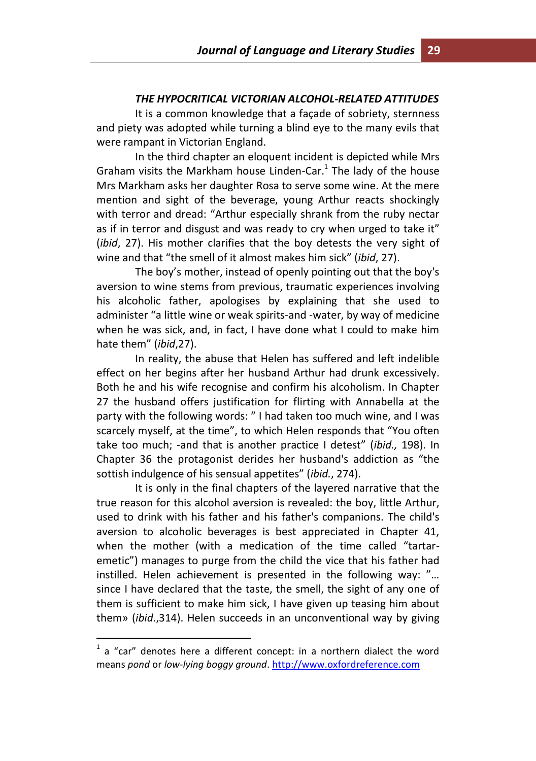#### *THE HYPOCRITICAL VICTORIAN ALCOHOL-RELATED ATTITUDES*

It is a common knowledge that a façade of sobriety, sternness and piety was adopted while turning a blind eye to the many evils that were rampant in Victorian England.

In the third chapter an eloquent incident is depicted while Mrs Graham visits the Markham house Linden-Car. $1$  The lady of the house Mrs Markham asks her daughter Rosa to serve some wine. At the mere mention and sight of the beverage, young Arthur reacts shockingly with terror and dread: "Arthur especially shrank from the ruby nectar as if in terror and disgust and was ready to cry when urged to take it" (*ibid*, 27). His mother clarifies that the boy detests the very sight of wine and that "the smell of it almost makes him sick" (*ibid*, 27).

The boy's mother, instead of openly pointing out that the boy's aversion to wine stems from previous, traumatic experiences involving his alcoholic father, apologises by explaining that she used to administer "a little wine or weak spirits-and -water, by way of medicine when he was sick, and, in fact, I have done what I could to make him hate them" (*ibid*,27).

In reality, the abuse that Helen has suffered and left indelible effect on her begins after her husband Arthur had drunk excessively. Both he and his wife recognise and confirm his alcoholism. In Chapter 27 the husband offers justification for flirting with Annabella at the party with the following words: " I had taken too much wine, and I was scarcely myself, at the time", to which Helen responds that "You often take too much; -and that is another practice I detest" (*ibid.,* 198). In Chapter 36 the protagonist derides her husband's addiction as "the sottish indulgence of his sensual appetites" (*ibid.*, 274).

It is only in the final chapters of the layered narrative that the true reason for this alcohol aversion is revealed: the boy, little Arthur, used to drink with his father and his father's companions. The child's aversion to alcoholic beverages is best appreciated in Chapter 41, when the mother (with a medication of the time called "tartaremetic") manages to purge from the child the vice that his father had instilled. Helen achievement is presented in the following way: "… since I have declared that the taste, the smell, the sight of any one of them is sufficient to make him sick, I have given up teasing him about them» (*ibid*.,314). Helen succeeds in an unconventional way by giving

 $\overline{a}$ 

 $1$  a "car" denotes here a different concept: in a northern dialect the word means *pond* or *low‐lying boggy ground*. [http://www.oxfordreference.com](http://www.oxfordreference.com/)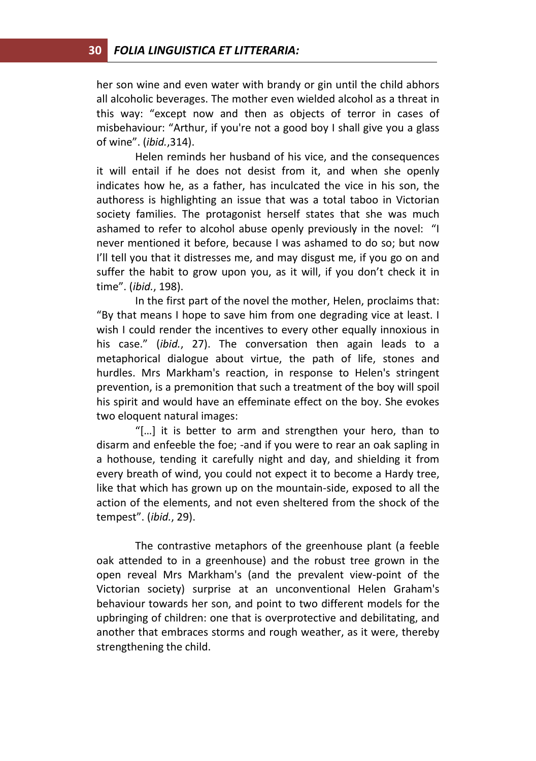her son wine and even water with brandy or gin until the child abhors all alcoholic beverages. The mother even wielded alcohol as a threat in this way: "except now and then as objects of terror in cases of misbehaviour: "Arthur, if you're not a good boy I shall give you a glass of wine". (*ibid.*,314).

Helen reminds her husband of his vice, and the consequences it will entail if he does not desist from it, and when she openly indicates how he, as a father, has inculcated the vice in his son, the authoress is highlighting an issue that was a total taboo in Victorian society families. The protagonist herself states that she was much ashamed to refer to alcohol abuse openly previously in the novel: "I never mentioned it before, because I was ashamed to do so; but now I'll tell you that it distresses me, and may disgust me, if you go on and suffer the habit to grow upon you, as it will, if you don't check it in time". (*ibid.*, 198).

In the first part of the novel the mother, Helen, proclaims that: "By that means I hope to save him from one degrading vice at least. I wish I could render the incentives to every other equally innoxious in his case." (*ibid.*, 27). The conversation then again leads to a metaphorical dialogue about virtue, the path of life, stones and hurdles. Mrs Markham's reaction, in response to Helen's stringent prevention, is a premonition that such a treatment of the boy will spoil his spirit and would have an effeminate effect on the boy. She evokes two eloquent natural images:

"[…] it is better to arm and strengthen your hero, than to disarm and enfeeble the foe; -and if you were to rear an oak sapling in a hothouse, tending it carefully night and day, and shielding it from every breath of wind, you could not expect it to become a Hardy tree, like that which has grown up on the mountain-side, exposed to all the action of the elements, and not even sheltered from the shock of the tempest". (*ibid.*, 29).

The contrastive metaphors of the greenhouse plant (a feeble oak attended to in a greenhouse) and the robust tree grown in the open reveal Mrs Markham's (and the prevalent view-point of the Victorian society) surprise at an unconventional Helen Graham's behaviour towards her son, and point to two different models for the upbringing of children: one that is overprotective and debilitating, and another that embraces storms and rough weather, as it were, thereby strengthening the child.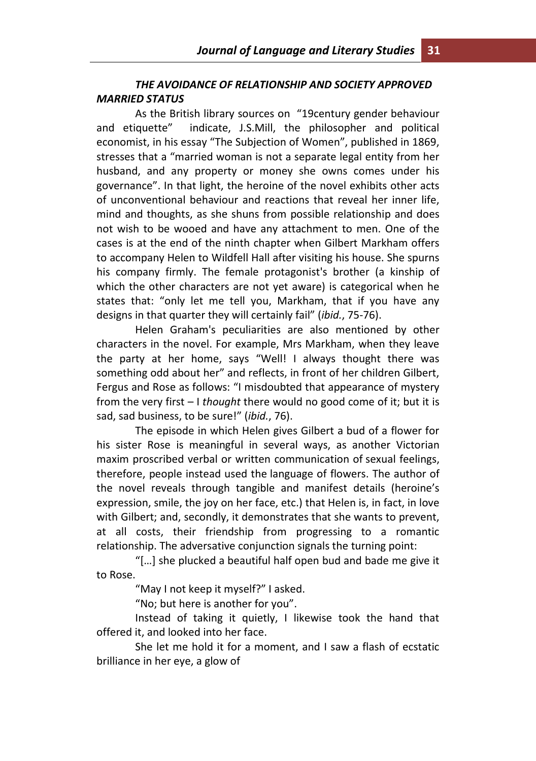## *THE AVOIDANCE OF RELATIONSHIP AND SOCIETY APPROVED MARRIED STATUS*

As the British library sources on "19century gender behaviour and etiquette" indicate, J.S.Mill, the philosopher and political economist, in his essay "The Subjection of Women", published in 1869, stresses that a "married woman is not a separate legal entity from her husband, and any property or money she owns comes under his governance". In that light, the heroine of the novel exhibits other acts of unconventional behaviour and reactions that reveal her inner life, mind and thoughts, as she shuns from possible relationship and does not wish to be wooed and have any attachment to men. One of the cases is at the end of the ninth chapter when Gilbert Markham offers to accompany Helen to Wildfell Hall after visiting his house. She spurns his company firmly. The female protagonist's brother (a kinship of which the other characters are not yet aware) is categorical when he states that: "only let me tell you, Markham, that if you have any designs in that quarter they will certainly fail" (*ibid.*, 75-76).

Helen Graham's peculiarities are also mentioned by other characters in the novel. For example, Mrs Markham, when they leave the party at her home, says "Well! I always thought there was something odd about her" and reflects, in front of her children Gilbert, Fergus and Rose as follows: "I misdoubted that appearance of mystery from the very first – I *thought* there would no good come of it; but it is sad, sad business, to be sure!" (*ibid.*, 76).

The episode in which Helen gives Gilbert a bud of a flower for his sister Rose is meaningful in several ways, as another Victorian maxim proscribed verbal or written communication of sexual feelings, therefore, people instead used the language of flowers. The author of the novel reveals through tangible and manifest details (heroine's expression, smile, the joy on her face, etc.) that Helen is, in fact, in love with Gilbert; and, secondly, it demonstrates that she wants to prevent, at all costs, their friendship from progressing to a romantic relationship. The adversative conjunction signals the turning point:

"[…] she plucked a beautiful half open bud and bade me give it to Rose.

"May I not keep it myself?" I asked.

"No; but here is another for you".

Instead of taking it quietly, I likewise took the hand that offered it, and looked into her face.

She let me hold it for a moment, and I saw a flash of ecstatic brilliance in her eye, a glow of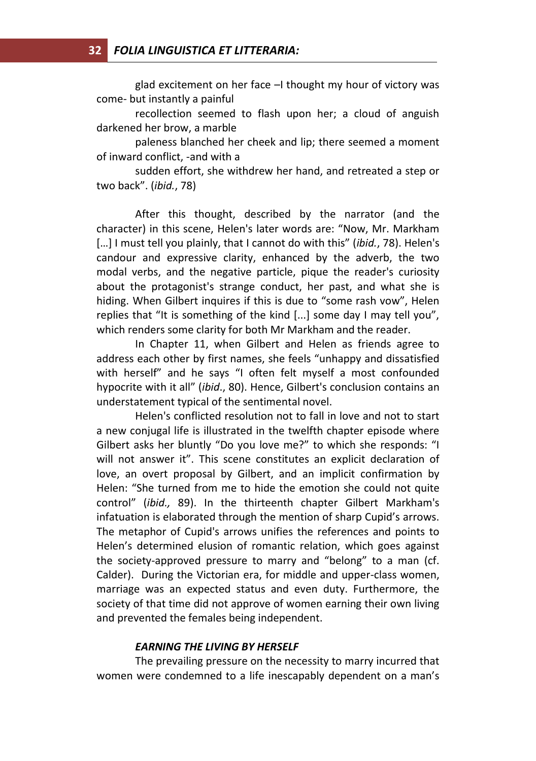glad excitement on her face –I thought my hour of victory was come- but instantly a painful

recollection seemed to flash upon her; a cloud of anguish darkened her brow, a marble

paleness blanched her cheek and lip; there seemed a moment of inward conflict, -and with a

sudden effort, she withdrew her hand, and retreated a step or two back". (*ibid.*, 78)

After this thought, described by the narrator (and the character) in this scene, Helen's later words are: "Now, Mr. Markham [...] I must tell you plainly, that I cannot do with this" (*ibid.*, 78). Helen's candour and expressive clarity, enhanced by the adverb, the two modal verbs, and the negative particle, pique the reader's curiosity about the protagonist's strange conduct, her past, and what she is hiding. When Gilbert inquires if this is due to "some rash vow", Helen replies that "It is something of the kind [...] some day I may tell you", which renders some clarity for both Mr Markham and the reader.

In Chapter 11, when Gilbert and Helen as friends agree to address each other by first names, she feels "unhappy and dissatisfied with herself" and he says "I often felt myself a most confounded hypocrite with it all" (*ibid*., 80). Hence, Gilbert's conclusion contains an understatement typical of the sentimental novel.

Helen's conflicted resolution not to fall in love and not to start a new conjugal life is illustrated in the twelfth chapter episode where Gilbert asks her bluntly "Do you love me?" to which she responds: "I will not answer it". This scene constitutes an explicit declaration of love, an overt proposal by Gilbert, and an implicit confirmation by Helen: "She turned from me to hide the emotion she could not quite control" (*ibid.,* 89). In the thirteenth chapter Gilbert Markham's infatuation is elaborated through the mention of sharp Cupid's arrows. The metaphor of Cupid's arrows unifies the references and points to Helen's determined elusion of romantic relation, which goes against the society-approved pressure to marry and "belong" to a man (cf. Calder). During the Victorian era, for middle and upper-class women, marriage was an expected status and even duty. Furthermore, the society of that time did not approve of women earning their own living and prevented the females being independent.

#### *EARNING THE LIVING BY HERSELF*

The prevailing pressure on the necessity to marry incurred that women were condemned to a life inescapably dependent on a man's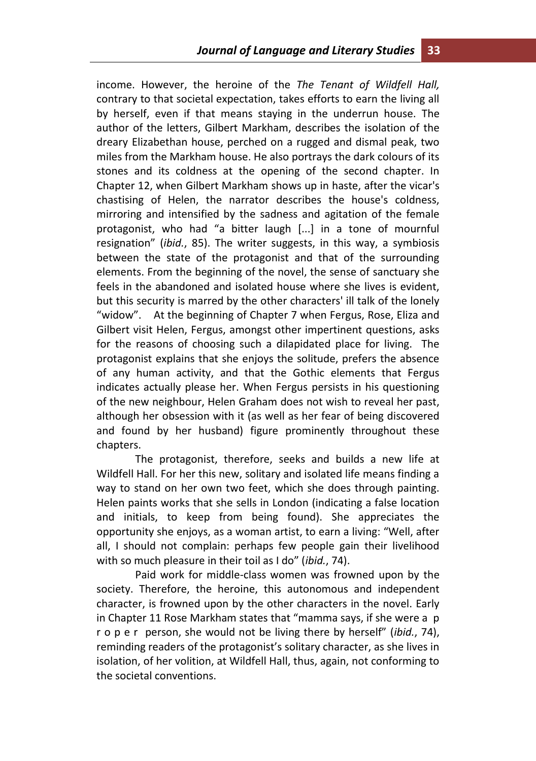income. However, the heroine of the *The Tenant of Wildfell Hall,*  contrary to that societal expectation, takes efforts to earn the living all by herself, even if that means staying in the underrun house. The author of the letters, Gilbert Markham, describes the isolation of the dreary Elizabethan house, perched on a rugged and dismal peak, two miles from the Markham house. He also portrays the dark colours of its stones and its coldness at the opening of the second chapter. In Chapter 12, when Gilbert Markham shows up in haste, after the vicar's chastising of Helen, the narrator describes the house's coldness, mirroring and intensified by the sadness and agitation of the female protagonist, who had "a bitter laugh [...] in a tone of mournful resignation" (*ibid.*, 85). The writer suggests, in this way, a symbiosis between the state of the protagonist and that of the surrounding elements. From the beginning of the novel, the sense of sanctuary she feels in the abandoned and isolated house where she lives is evident, but this security is marred by the other characters' ill talk of the lonely "widow". At the beginning of Chapter 7 when Fergus, Rose, Eliza and Gilbert visit Helen, Fergus, amongst other impertinent questions, asks for the reasons of choosing such a dilapidated place for living. The protagonist explains that she enjoys the solitude, prefers the absence of any human activity, and that the Gothic elements that Fergus indicates actually please her. When Fergus persists in his questioning of the new neighbour, Helen Graham does not wish to reveal her past, although her obsession with it (as well as her fear of being discovered and found by her husband) figure prominently throughout these chapters.

The protagonist, therefore, seeks and builds a new life at Wildfell Hall. For her this new, solitary and isolated life means finding a way to stand on her own two feet, which she does through painting. Helen paints works that she sells in London (indicating a false location and initials, to keep from being found). She appreciates the opportunity she enjoys, as a woman artist, to earn a living: "Well, after all, I should not complain: perhaps few people gain their livelihood with so much pleasure in their toil as I do" (*ibid.*, 74).

Paid work for middle-class women was frowned upon by the society. Therefore, the heroine, this autonomous and independent character, is frowned upon by the other characters in the novel. Early in Chapter 11 Rose Markham states that "mamma says, if she were a p r o p e r person, she would not be living there by herself" (*ibid.*, 74), reminding readers of the protagonist's solitary character, as she lives in isolation, of her volition, at Wildfell Hall, thus, again, not conforming to the societal conventions.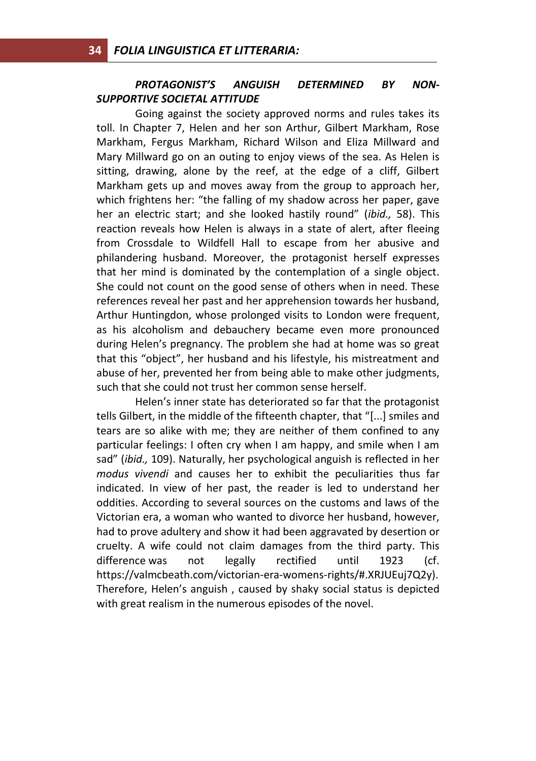## *PROTAGONIST'S ANGUISH DETERMINED BY NON-SUPPORTIVE SOCIETAL ATTITUDE*

Going against the society approved norms and rules takes its toll. In Chapter 7, Helen and her son Arthur, Gilbert Markham, Rose Markham, Fergus Markham, Richard Wilson and Eliza Millward and Mary Millward go on an outing to enjoy views of the sea. As Helen is sitting, drawing, alone by the reef, at the edge of a cliff, Gilbert Markham gets up and moves away from the group to approach her, which frightens her: "the falling of my shadow across her paper, gave her an electric start; and she looked hastily round" (*ibid.,* 58). This reaction reveals how Helen is always in a state of alert, after fleeing from Crossdale to Wildfell Hall to escape from her abusive and philandering husband. Moreover, the protagonist herself expresses that her mind is dominated by the contemplation of a single object. She could not count on the good sense of others when in need. These references reveal her past and her apprehension towards her husband, Arthur Huntingdon, whose prolonged visits to London were frequent, as his alcoholism and debauchery became even more pronounced during Helen's pregnancy. The problem she had at home was so great that this "object", her husband and his lifestyle, his mistreatment and abuse of her, prevented her from being able to make other judgments, such that she could not trust her common sense herself.

Helen's inner state has deteriorated so far that the protagonist tells Gilbert, in the middle of the fifteenth chapter, that "[...] smiles and tears are so alike with me; they are neither of them confined to any particular feelings: I often cry when I am happy, and smile when I am sad" (*ibid.,* 109). Naturally, her psychological anguish is reflected in her *modus vivendi* and causes her to exhibit the peculiarities thus far indicated. In view of her past, the reader is led to understand her oddities. According to several sources on the customs and laws of the Victorian era, a woman who wanted to divorce her husband, however, had to prove adultery and show it had been aggravated by desertion or cruelty. A wife could not claim damages from the third party. This difference was not legally rectified until 1923 (cf. https://valmcbeath.com/victorian-era-womens-rights/#.XRJUEuj7Q2y). Therefore, Helen's anguish , caused by shaky social status is depicted with great realism in the numerous episodes of the novel.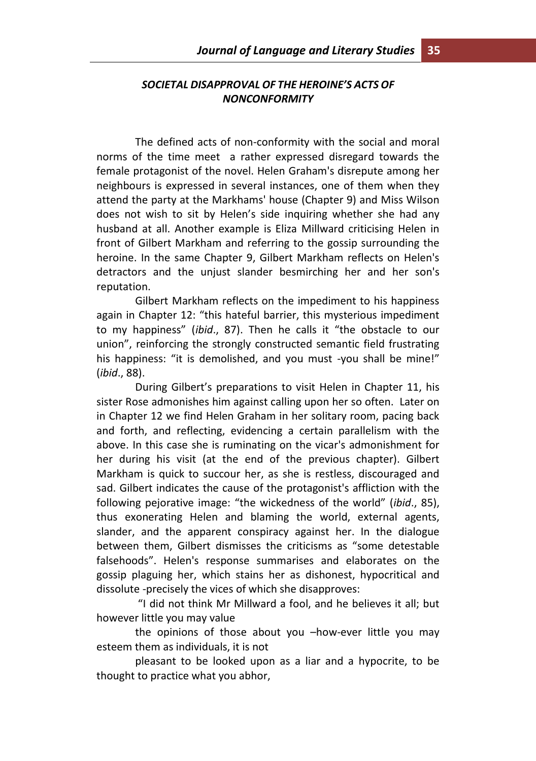# *SOCIETAL DISAPPROVAL OF THE HEROINE'S ACTS OF NONCONFORMITY*

The defined acts of non-conformity with the social and moral norms of the time meet a rather expressed disregard towards the female protagonist of the novel. Helen Graham's disrepute among her neighbours is expressed in several instances, one of them when they attend the party at the Markhams' house (Chapter 9) and Miss Wilson does not wish to sit by Helen's side inquiring whether she had any husband at all. Another example is Eliza Millward criticising Helen in front of Gilbert Markham and referring to the gossip surrounding the heroine. In the same Chapter 9, Gilbert Markham reflects on Helen's detractors and the unjust slander besmirching her and her son's reputation.

Gilbert Markham reflects on the impediment to his happiness again in Chapter 12: "this hateful barrier, this mysterious impediment to my happiness" (*ibid*., 87). Then he calls it "the obstacle to our union", reinforcing the strongly constructed semantic field frustrating his happiness: "it is demolished, and you must -you shall be mine!" (*ibid*., 88).

During Gilbert's preparations to visit Helen in Chapter 11, his sister Rose admonishes him against calling upon her so often. Later on in Chapter 12 we find Helen Graham in her solitary room, pacing back and forth, and reflecting, evidencing a certain parallelism with the above. In this case she is ruminating on the vicar's admonishment for her during his visit (at the end of the previous chapter). Gilbert Markham is quick to succour her, as she is restless, discouraged and sad. Gilbert indicates the cause of the protagonist's affliction with the following pejorative image: "the wickedness of the world" (*ibid*., 85), thus exonerating Helen and blaming the world, external agents, slander, and the apparent conspiracy against her. In the dialogue between them, Gilbert dismisses the criticisms as "some detestable falsehoods". Helen's response summarises and elaborates on the gossip plaguing her, which stains her as dishonest, hypocritical and dissolute -precisely the vices of which she disapproves:

"I did not think Mr Millward a fool, and he believes it all; but however little you may value

the opinions of those about you –how-ever little you may esteem them as individuals, it is not

pleasant to be looked upon as a liar and a hypocrite, to be thought to practice what you abhor,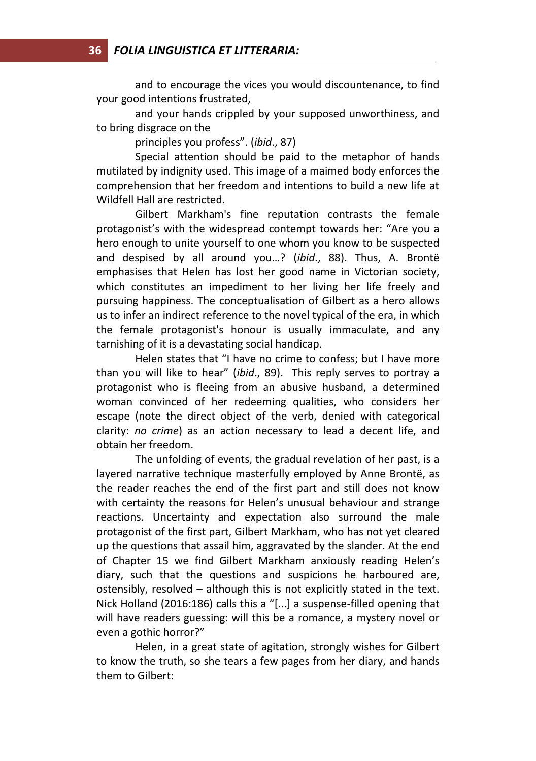and to encourage the vices you would discountenance, to find your good intentions frustrated,

and your hands crippled by your supposed unworthiness, and to bring disgrace on the

principles you profess". (*ibid*., 87)

Special attention should be paid to the metaphor of hands mutilated by indignity used. This image of a maimed body enforces the comprehension that her freedom and intentions to build a new life at Wildfell Hall are restricted.

Gilbert Markham's fine reputation contrasts the female protagonist's with the widespread contempt towards her: "Are you a hero enough to unite yourself to one whom you know to be suspected and despised by all around you…? (*ibid*., 88). Thus, A. Brontë emphasises that Helen has lost her good name in Victorian society, which constitutes an impediment to her living her life freely and pursuing happiness. The conceptualisation of Gilbert as a hero allows us to infer an indirect reference to the novel typical of the era, in which the female protagonist's honour is usually immaculate, and any tarnishing of it is a devastating social handicap.

Helen states that "I have no crime to confess; but I have more than you will like to hear" (*ibid*., 89). This reply serves to portray a protagonist who is fleeing from an abusive husband, a determined woman convinced of her redeeming qualities, who considers her escape (note the direct object of the verb, denied with categorical clarity: *no crime*) as an action necessary to lead a decent life, and obtain her freedom.

The unfolding of events, the gradual revelation of her past, is a layered narrative technique masterfully employed by Anne Brontë, as the reader reaches the end of the first part and still does not know with certainty the reasons for Helen's unusual behaviour and strange reactions. Uncertainty and expectation also surround the male protagonist of the first part, Gilbert Markham, who has not yet cleared up the questions that assail him, aggravated by the slander. At the end of Chapter 15 we find Gilbert Markham anxiously reading Helen's diary, such that the questions and suspicions he harboured are, ostensibly, resolved – although this is not explicitly stated in the text. Nick Holland (2016:186) calls this a "[...] a suspense-filled opening that will have readers guessing: will this be a romance, a mystery novel or even a gothic horror?"

Helen, in a great state of agitation, strongly wishes for Gilbert to know the truth, so she tears a few pages from her diary, and hands them to Gilbert: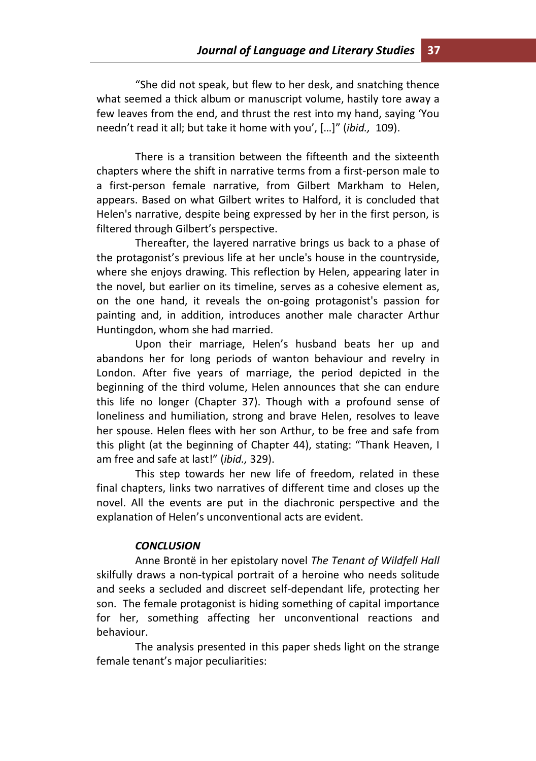"She did not speak, but flew to her desk, and snatching thence what seemed a thick album or manuscript volume, hastily tore away a few leaves from the end, and thrust the rest into my hand, saying 'You needn't read it all; but take it home with you', […]" (*ibid.,* 109).

There is a transition between the fifteenth and the sixteenth chapters where the shift in narrative terms from a first-person male to a first-person female narrative, from Gilbert Markham to Helen, appears. Based on what Gilbert writes to Halford, it is concluded that Helen's narrative, despite being expressed by her in the first person, is filtered through Gilbert's perspective.

Thereafter, the layered narrative brings us back to a phase of the protagonist's previous life at her uncle's house in the countryside, where she enjoys drawing. This reflection by Helen, appearing later in the novel, but earlier on its timeline, serves as a cohesive element as, on the one hand, it reveals the on-going protagonist's passion for painting and, in addition, introduces another male character Arthur Huntingdon, whom she had married.

Upon their marriage, Helen's husband beats her up and abandons her for long periods of wanton behaviour and revelry in London. After five years of marriage, the period depicted in the beginning of the third volume, Helen announces that she can endure this life no longer (Chapter 37). Though with a profound sense of loneliness and humiliation, strong and brave Helen, resolves to leave her spouse. Helen flees with her son Arthur, to be free and safe from this plight (at the beginning of Chapter 44), stating: "Thank Heaven, I am free and safe at last!" (*ibid.,* 329).

This step towards her new life of freedom, related in these final chapters, links two narratives of different time and closes up the novel. All the events are put in the diachronic perspective and the explanation of Helen's unconventional acts are evident.

#### *CONCLUSION*

Anne Brontë in her epistolary novel *The Tenant of Wildfell Hall* skilfully draws a non-typical portrait of a heroine who needs solitude and seeks a secluded and discreet self-dependant life, protecting her son. The female protagonist is hiding something of capital importance for her, something affecting her unconventional reactions and behaviour.

The analysis presented in this paper sheds light on the strange female tenant's major peculiarities: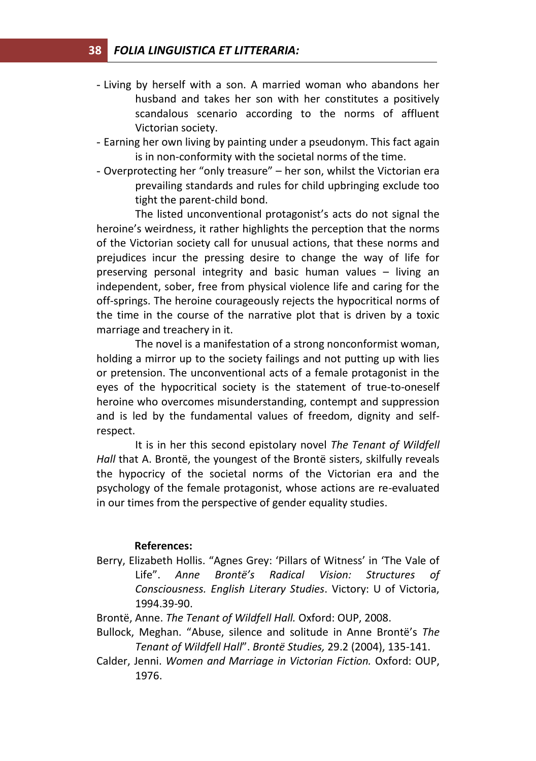- Living by herself with a son. A married woman who abandons her husband and takes her son with her constitutes a positively scandalous scenario according to the norms of affluent Victorian society.
- Earning her own living by painting under a pseudonym. This fact again is in non-conformity with the societal norms of the time.
- Overprotecting her "only treasure" her son, whilst the Victorian era prevailing standards and rules for child upbringing exclude too tight the parent-child bond.

The listed unconventional protagonist's acts do not signal the heroine's weirdness, it rather highlights the perception that the norms of the Victorian society call for unusual actions, that these norms and prejudices incur the pressing desire to change the way of life for preserving personal integrity and basic human values – living an independent, sober, free from physical violence life and caring for the off-springs. The heroine courageously rejects the hypocritical norms of the time in the course of the narrative plot that is driven by a toxic marriage and treachery in it.

The novel is a manifestation of a strong nonconformist woman, holding a mirror up to the society failings and not putting up with lies or pretension. The unconventional acts of a female protagonist in the eyes of the hypocritical society is the statement of true-to-oneself heroine who overcomes misunderstanding, contempt and suppression and is led by the fundamental values of freedom, dignity and selfrespect.

It is in her this second epistolary novel *The Tenant of Wildfell Hall* that A. Brontë, the youngest of the Brontë sisters, skilfully reveals the hypocricy of the societal norms of the Victorian era and the psychology of the female protagonist, whose actions are re-evaluated in our times from the perspective of gender equality studies.

#### **References:**

- Berry, Elizabeth Hollis. "Agnes Grey: 'Pillars of Witness' in 'The Vale of Life". *Anne Brontë's Radical Vision: Structures of Consciousness. English Literary Studies*. Victory: U of Victoria, 1994.39-90.
- Brontë, Anne. *The Tenant of Wildfell Hall.* Oxford: OUP, 2008.
- Bullock, Meghan. "Abuse, silence and solitude in Anne Brontë's *The Tenant of Wildfell Hall*". *Brontë Studies,* 29.2 (2004), 135-141.
- Calder, Jenni. *Women and Marriage in Victorian Fiction.* Oxford: OUP, 1976.